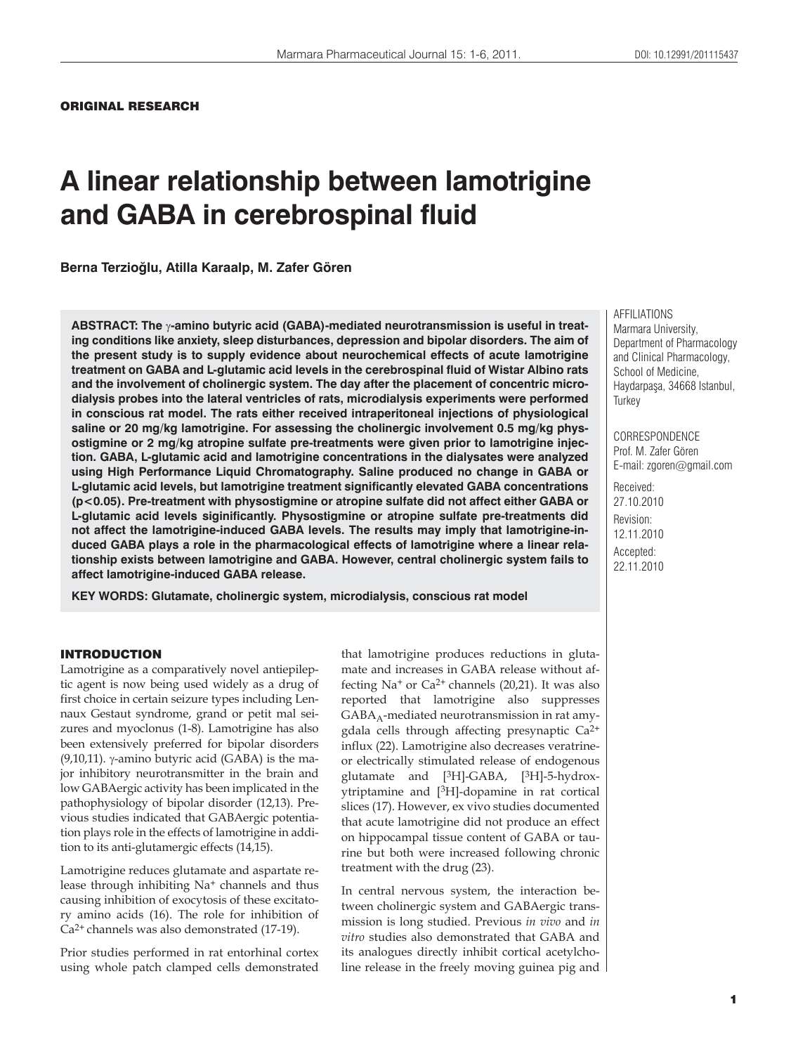## DOI: 10.12991/201115437

# **A linear relationship between lamotrigine and GABA in cerebrospinal fluid**

**Berna Terzioùlu, Atilla Karaalp, M. Zafer Gören**

ABSTRACT: The <sub>Y</sub>-amino butyric acid (GABA)-mediated neurotransmission is useful in treat**ing conditions like anxiety, sleep disturbances, depression and bipolar disorders. The aim of the present study is to supply evidence about neurochemical effects of acute lamotrigine treatment on GABA and L-glutamic acid levels in the cerebrospinal fluid of Wistar Albino rats and the involvement of cholinergic system. The day after the placement of concentric microdialysis probes into the lateral ventricles of rats, microdialysis experiments were performed in conscious rat model. The rats either received intraperitoneal injections of physiological saline or 20 mg/kg lamotrigine. For assessing the cholinergic involvement 0.5 mg/kg physostigmine or 2 mg/kg atropine sulfate pre-treatments were given prior to lamotrigine injection. GABA, L-glutamic acid and lamotrigine concentrations in the dialysates were analyzed using High Performance Liquid Chromatography. Saline produced no change in GABA or L-glutamic acid levels, but lamotrigine treatment significantly elevated GABA concentrations (p<0.05). Pre-treatment with physostigmine or atropine sulfate did not affect either GABA or L-glutamic acid levels siginificantly. Physostigmine or atropine sulfate pre-treatments did not affect the lamotrigine-induced GABA levels. The results may imply that lamotrigine-induced GABA plays a role in the pharmacological effects of lamotrigine where a linear relationship exists between lamotrigine and GABA. However, central cholinergic system fails to affect lamotrigine-induced GABA release.**

**KEY WORDS: Glutamate, cholinergic system, microdialysis, conscious rat model**

#### INTRODUCTION

Lamotrigine as a comparatively novel antiepileptic agent is now being used widely as a drug of first choice in certain seizure types including Lennaux Gestaut syndrome, grand or petit mal seizures and myoclonus (1-8). Lamotrigine has also been extensively preferred for bipolar disorders  $(9,10,11)$ .  $\gamma$ -amino butyric acid (GABA) is the major inhibitory neurotransmitter in the brain and low GABAergic activity has been implicated in the pathophysiology of bipolar disorder (12,13). Previous studies indicated that GABAergic potentiation plays role in the effects of lamotrigine in addition to its anti-glutamergic effects (14,15).

Lamotrigine reduces glutamate and aspartate release through inhibiting Na<sup>+</sup> channels and thus causing inhibition of exocytosis of these excitatory amino acids (16). The role for inhibition of Ca2+ channels was also demonstrated (17-19).

Prior studies performed in rat entorhinal cortex using whole patch clamped cells demonstrated

that lamotrigine produces reductions in glutamate and increases in GABA release without affecting  $Na<sup>+</sup>$  or  $Ca<sup>2+</sup>$  channels (20,21). It was also reported that lamotrigine also suppresses  $GABA_A$ -mediated neurotransmission in rat amygdala cells through affecting presynaptic Ca2+ influx (22). Lamotrigine also decreases veratrineor electrically stimulated release of endogenous glutamate and [3H]-GABA, [3H]-5-hydroxytriptamine and [3H]-dopamine in rat cortical slices (17). However, ex vivo studies documented that acute lamotrigine did not produce an effect on hippocampal tissue content of GABA or taurine but both were increased following chronic treatment with the drug (23).

In central nervous system, the interaction between cholinergic system and GABAergic transmission is long studied. Previous *in vivo* and *in vitro* studies also demonstrated that GABA and its analogues directly inhibit cortical acetylcholine release in the freely moving guinea pig and AFFILIATIONS Marmara University, Department of Pharmacology and Clinical Pharmacology, School of Medicine, Haydarpaşa, 34668 Istanbul, **Turkey** 

**CORRESPONDENCE** Prof. M. Zafer Gören E-mail: zgoren@gmail.com

Received: 27.10.2010 Revision: 12.11.2010 Accepted: 22.11.2010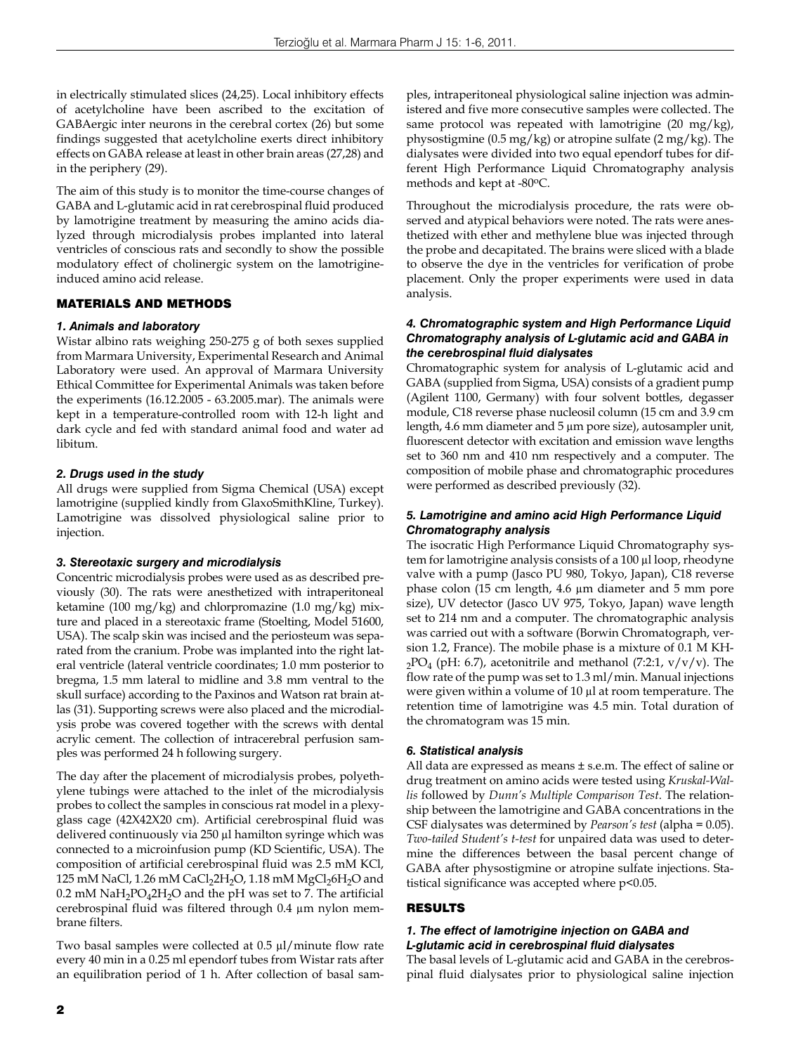in electrically stimulated slices (24,25). Local inhibitory effects of acetylcholine have been ascribed to the excitation of GABAergic inter neurons in the cerebral cortex (26) but some findings suggested that acetylcholine exerts direct inhibitory effects on GABA release at least in other brain areas (27,28) and in the periphery (29).

The aim of this study is to monitor the time-course changes of GABA and L-glutamic acid in rat cerebrospinal fluid produced by lamotrigine treatment by measuring the amino acids dialyzed through microdialysis probes implanted into lateral ventricles of conscious rats and secondly to show the possible modulatory effect of cholinergic system on the lamotrigineinduced amino acid release.

## MATERIALS AND METHODS

## *1. Animals and laboratory*

Wistar albino rats weighing 250-275 g of both sexes supplied from Marmara University, Experimental Research and Animal Laboratory were used. An approval of Marmara University Ethical Committee for Experimental Animals was taken before the experiments (16.12.2005 - 63.2005.mar). The animals were kept in a temperature-controlled room with 12-h light and dark cycle and fed with standard animal food and water ad libitum.

#### *2. Drugs used in the study*

All drugs were supplied from Sigma Chemical (USA) except lamotrigine (supplied kindly from GlaxoSmithKline, Turkey). Lamotrigine was dissolved physiological saline prior to injection.

#### *3. Stereotaxic surgery and microdialysis*

Concentric microdialysis probes were used as as described previously (30). The rats were anesthetized with intraperitoneal ketamine (100 mg/kg) and chlorpromazine (1.0 mg/kg) mixture and placed in a stereotaxic frame (Stoelting, Model 51600, USA). The scalp skin was incised and the periosteum was separated from the cranium. Probe was implanted into the right lateral ventricle (lateral ventricle coordinates; 1.0 mm posterior to bregma, 1.5 mm lateral to midline and 3.8 mm ventral to the skull surface) according to the Paxinos and Watson rat brain atlas (31). Supporting screws were also placed and the microdialysis probe was covered together with the screws with dental acrylic cement. The collection of intracerebral perfusion samples was performed 24 h following surgery.

The day after the placement of microdialysis probes, polyethylene tubings were attached to the inlet of the microdialysis probes to collect the samples in conscious rat model in a plexyglass cage (42X42X20 cm). Artificial cerebrospinal fluid was delivered continuously via 250 μl hamilton syringe which was connected to a microinfusion pump (KD Scientific, USA). The composition of artificial cerebrospinal fluid was 2.5 mM KCl, 125 mM NaCl, 1.26 mM CaCl<sub>2</sub>2H<sub>2</sub>O, 1.18 mM MgCl<sub>2</sub>6H<sub>2</sub>O and 0.2 mM  $\text{NaH}_2\text{PO}_4\text{2H}_2\text{O}$  and the pH was set to 7. The artificial cerebrospinal fluid was filtered through 0.4 μm nylon membrane filters.

Two basal samples were collected at 0.5 μl/minute flow rate every 40 min in a 0.25 ml ependorf tubes from Wistar rats after an equilibration period of 1 h. After collection of basal samples, intraperitoneal physiological saline injection was administered and five more consecutive samples were collected. The same protocol was repeated with lamotrigine (20 mg/kg), physostigmine (0.5 mg/kg) or atropine sulfate (2 mg/kg). The dialysates were divided into two equal ependorf tubes for different High Performance Liquid Chromatography analysis methods and kept at -80oC.

Throughout the microdialysis procedure, the rats were observed and atypical behaviors were noted. The rats were anesthetized with ether and methylene blue was injected through the probe and decapitated. The brains were sliced with a blade to observe the dye in the ventricles for verification of probe placement. Only the proper experiments were used in data analysis.

## *4. Chromatographic system and High Performance Liquid Chromatography analysis of L-glutamic acid and GABA in the cerebrospinal fluid dialysates*

Chromatographic system for analysis of L-glutamic acid and GABA (supplied from Sigma, USA) consists of a gradient pump (Agilent 1100, Germany) with four solvent bottles, degasser module, C18 reverse phase nucleosil column (15 cm and 3.9 cm length, 4.6 mm diameter and 5 μm pore size), autosampler unit, fluorescent detector with excitation and emission wave lengths set to 360 nm and 410 nm respectively and a computer. The composition of mobile phase and chromatographic procedures were performed as described previously (32).

## *5. Lamotrigine and amino acid High Performance Liquid Chromatography analysis*

The isocratic High Performance Liquid Chromatography system for lamotrigine analysis consists of a 100 μl loop, rheodyne valve with a pump (Jasco PU 980, Tokyo, Japan), C18 reverse phase colon (15 cm length, 4.6 μm diameter and 5 mm pore size), UV detector (Jasco UV 975, Tokyo, Japan) wave length set to 214 nm and a computer. The chromatographic analysis was carried out with a software (Borwin Chromatograph, version 1.2, France). The mobile phase is a mixture of 0.1 M KH- $2PO_4$  (pH: 6.7), acetonitrile and methanol (7:2:1, v/v/v). The flow rate of the pump was set to 1.3 ml/min. Manual injections were given within a volume of 10 μl at room temperature. The retention time of lamotrigine was 4.5 min. Total duration of the chromatogram was 15 min.

#### *6. Statistical analysis*

All data are expressed as means ± s.e.m. The effect of saline or drug treatment on amino acids were tested using *Kruskal-Wallis* followed by *Dunn's Multiple Comparison Test*. The relationship between the lamotrigine and GABA concentrations in the CSF dialysates was determined by *Pearson's test* (alpha = 0.05). *Two-tailed Student's t-test* for unpaired data was used to determine the differences between the basal percent change of GABA after physostigmine or atropine sulfate injections. Statistical significance was accepted where p<0.05.

## RESULTS

## *1. The effect of lamotrigine injection on GABA and L-glutamic acid in cerebrospinal fluid dialysates*

The basal levels of L-glutamic acid and GABA in the cerebrospinal fluid dialysates prior to physiological saline injection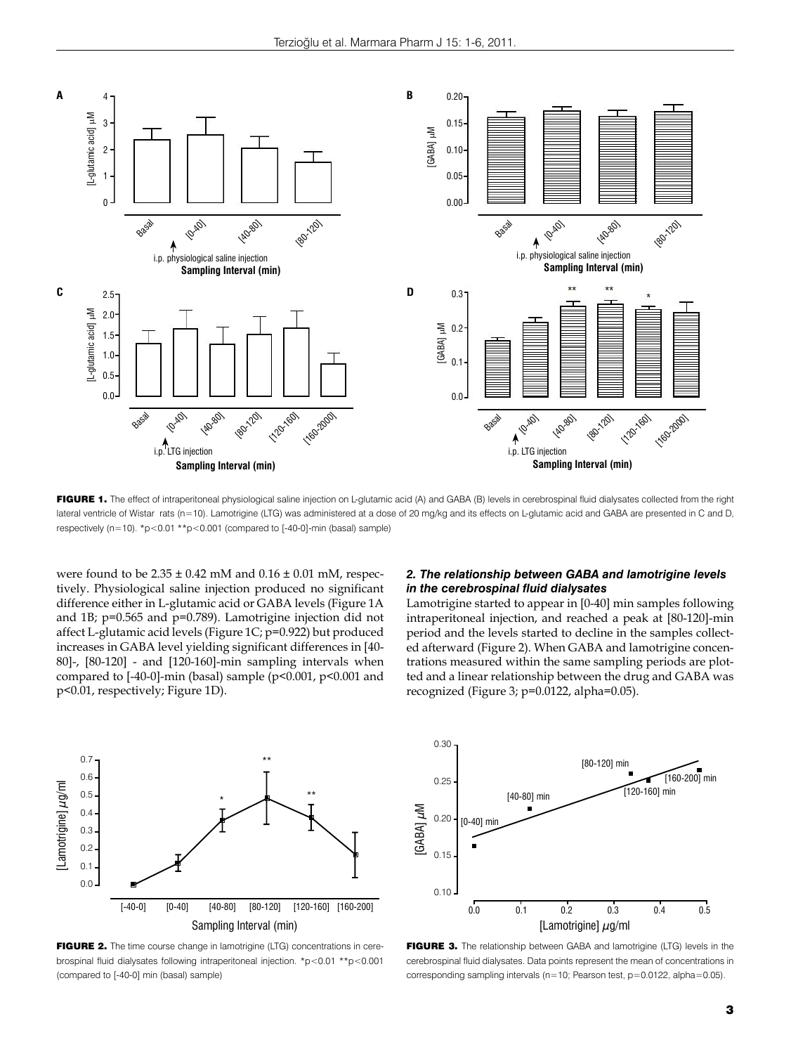

FIGURE 1. The effect of intraperitoneal physiological saline injection on L-glutamic acid (A) and GABA (B) levels in cerebrospinal fluid dialysates collected from the right lateral ventricle of Wistar rats (n=10). Lamotrigine (LTG) was administered at a dose of 20 mg/kg and its effects on L-glutamic acid and GABA are presented in C and D, respectively (n=10).  $p>0.01 \cdot p$  = 0.001 (compared to [-40-0]-min (basal) sample)

were found to be  $2.35 \pm 0.42$  mM and  $0.16 \pm 0.01$  mM, respectively. Physiological saline injection produced no significant difference either in L-glutamic acid or GABA levels (Figure 1A and 1B; p=0.565 and p=0.789). Lamotrigine injection did not affect L-glutamic acid levels (Figure 1C; p=0.922) but produced increases in GABA level yielding significant differences in [40- 80]-, [80-120] - and [120-160]-min sampling intervals when compared to  $[-40-0]$ -min (basal) sample (p<0.001, p<0.001 and p<0.01, respectively; Figure 1D).

## *2. The relationship between GABA and lamotrigine levels in the cerebrospinal fluid dialysates*

Lamotrigine started to appear in [0-40] min samples following intraperitoneal injection, and reached a peak at [80-120]-min period and the levels started to decline in the samples collected afterward (Figure 2). When GABA and lamotrigine concentrations measured within the same sampling periods are plotted and a linear relationship between the drug and GABA was recognized (Figure 3; p=0.0122, alpha=0.05).



FIGURE 2. The time course change in lamotrigine (LTG) concentrations in cerebrospinal fluid dialysates following intraperitoneal injection. \*p<0.01 \*\*p<0.001 (compared to [-40-0] min (basal) sample)



FIGURE 3. The relationship between GABA and lamotrigine (LTG) levels in the cerebrospinal fluid dialysates. Data points represent the mean of concentrations in corresponding sampling intervals (n=10; Pearson test, p=0.0122, alpha=0.05).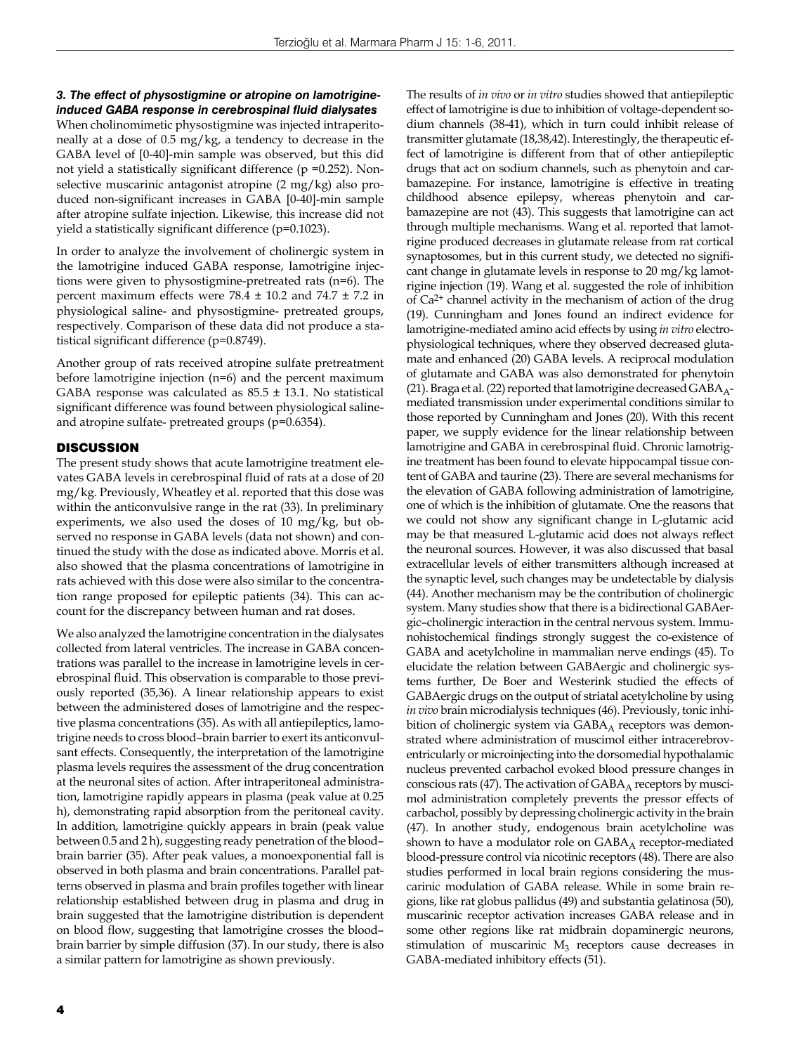## *3. The effect of physostigmine or atropine on lamotrigineinduced GABA response in cerebrospinal fluid dialysates*

When cholinomimetic physostigmine was injected intraperitoneally at a dose of 0.5 mg/kg, a tendency to decrease in the GABA level of [0-40]-min sample was observed, but this did not yield a statistically significant difference (p =0.252). Nonselective muscarinic antagonist atropine (2 mg/kg) also produced non-significant increases in GABA [0-40]-min sample after atropine sulfate injection. Likewise, this increase did not yield a statistically significant difference (p=0.1023).

In order to analyze the involvement of cholinergic system in the lamotrigine induced GABA response, lamotrigine injections were given to physostigmine-pretreated rats (n=6). The percent maximum effects were 78.4 ± 10.2 and 74.7 ± 7.2 in physiological saline- and physostigmine- pretreated groups, respectively. Comparison of these data did not produce a statistical significant difference (p=0.8749).

Another group of rats received atropine sulfate pretreatment before lamotrigine injection (n=6) and the percent maximum GABA response was calculated as  $85.5 \pm 13.1$ . No statistical significant difference was found between physiological salineand atropine sulfate- pretreated groups (p=0.6354).

#### **DISCUSSION**

The present study shows that acute lamotrigine treatment elevates GABA levels in cerebrospinal fluid of rats at a dose of 20 mg/kg. Previously, Wheatley et al. reported that this dose was within the anticonvulsive range in the rat (33). In preliminary experiments, we also used the doses of 10 mg/kg, but observed no response in GABA levels (data not shown) and continued the study with the dose as indicated above. Morris et al. also showed that the plasma concentrations of lamotrigine in rats achieved with this dose were also similar to the concentration range proposed for epileptic patients (34). This can account for the discrepancy between human and rat doses.

We also analyzed the lamotrigine concentration in the dialysates collected from lateral ventricles. The increase in GABA concentrations was parallel to the increase in lamotrigine levels in cerebrospinal fluid. This observation is comparable to those previously reported (35,36). A linear relationship appears to exist between the administered doses of lamotrigine and the respective plasma concentrations (35). As with all antiepileptics, lamotrigine needs to cross blood–brain barrier to exert its anticonvulsant effects. Consequently, the interpretation of the lamotrigine plasma levels requires the assessment of the drug concentration at the neuronal sites of action. After intraperitoneal administration, lamotrigine rapidly appears in plasma (peak value at 0.25 h), demonstrating rapid absorption from the peritoneal cavity. In addition, lamotrigine quickly appears in brain (peak value between 0.5 and 2 h), suggesting ready penetration of the blood– brain barrier (35). After peak values, a monoexponential fall is observed in both plasma and brain concentrations. Parallel patterns observed in plasma and brain profiles together with linear relationship established between drug in plasma and drug in brain suggested that the lamotrigine distribution is dependent on blood flow, suggesting that lamotrigine crosses the blood– brain barrier by simple diffusion (37). In our study, there is also a similar pattern for lamotrigine as shown previously.

dium channels (38-41), which in turn could inhibit release of transmitter glutamate (18,38,42). Interestingly, the therapeutic effect of lamotrigine is different from that of other antiepileptic drugs that act on sodium channels, such as phenytoin and carbamazepine. For instance, lamotrigine is effective in treating childhood absence epilepsy, whereas phenytoin and carbamazepine are not (43). This suggests that lamotrigine can act through multiple mechanisms. Wang et al. reported that lamotrigine produced decreases in glutamate release from rat cortical synaptosomes, but in this current study, we detected no significant change in glutamate levels in response to 20 mg/kg lamotrigine injection (19). Wang et al. suggested the role of inhibition of Ca2+ channel activity in the mechanism of action of the drug (19). Cunningham and Jones found an indirect evidence for lamotrigine-mediated amino acid effects by using *in vitro* electrophysiological techniques, where they observed decreased glutamate and enhanced (20) GABA levels. A reciprocal modulation of glutamate and GABA was also demonstrated for phenytoin (21). Braga et al. (22) reported that lamotrigine decreased  $GABA_A$ mediated transmission under experimental conditions similar to those reported by Cunningham and Jones (20). With this recent paper, we supply evidence for the linear relationship between lamotrigine and GABA in cerebrospinal fluid. Chronic lamotrigine treatment has been found to elevate hippocampal tissue content of GABA and taurine (23). There are several mechanisms for the elevation of GABA following administration of lamotrigine, one of which is the inhibition of glutamate. One the reasons that we could not show any significant change in L-glutamic acid may be that measured L-glutamic acid does not always reflect the neuronal sources. However, it was also discussed that basal extracellular levels of either transmitters although increased at the synaptic level, such changes may be undetectable by dialysis (44). Another mechanism may be the contribution of cholinergic system. Many studies show that there is a bidirectional GABAergic–cholinergic interaction in the central nervous system. Immunohistochemical findings strongly suggest the co-existence of GABA and acetylcholine in mammalian nerve endings (45). To elucidate the relation between GABAergic and cholinergic systems further, De Boer and Westerink studied the effects of GABAergic drugs on the output of striatal acetylcholine by using *in vivo* brain microdialysis techniques (46). Previously, tonic inhibition of cholinergic system via  $GABA_A$  receptors was demonstrated where administration of muscimol either intracerebroventricularly or microinjecting into the dorsomedial hypothalamic nucleus prevented carbachol evoked blood pressure changes in conscious rats (47). The activation of  $GABA_A$  receptors by muscimol administration completely prevents the pressor effects of carbachol, possibly by depressing cholinergic activity in the brain (47). In another study, endogenous brain acetylcholine was shown to have a modulator role on  $GABA_A$  receptor-mediated blood-pressure control via nicotinic receptors (48). There are also studies performed in local brain regions considering the muscarinic modulation of GABA release. While in some brain regions, like rat globus pallidus (49) and substantia gelatinosa (50), muscarinic receptor activation increases GABA release and in some other regions like rat midbrain dopaminergic neurons, stimulation of muscarinic  $M_3$  receptors cause decreases in GABA-mediated inhibitory effects (51).

The results of *in vivo* or *in vitro* studies showed that antiepileptic effect of lamotrigine is due to inhibition of voltage-dependent so-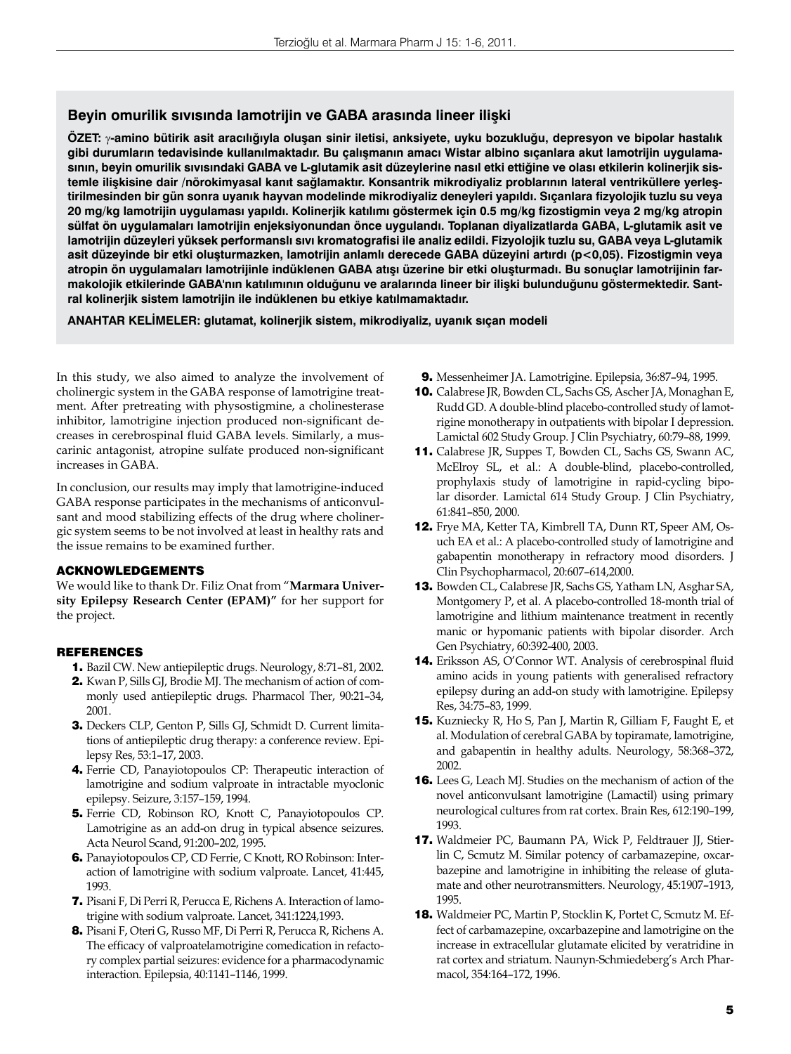# **Beyin omurilik sıvısında lamotrijin ve GABA arasında lineer ilişki**

**ÖZET:** γ**-amino bütirik asit aracılığıyla oluşan sinir iletisi, anksiyete, uyku bozukluğu, depresyon ve bipolar hastalık gibi durumların tedavisinde kullanılmaktadır. Bu çalışmanın amacı Wistar albino sıçanlara akut lamotrijin uygulamasının, beyin omurilik sıvısındaki GABA ve L-glutamik asit düzeylerine nasıl etki ettiğine ve olası etkilerin kolinerjik sistemle ilişkisine dair /nörokimyasal kanıt sağlamaktır. Konsantrik mikrodiyaliz problarının lateral ventriküllere yerleştirilmesinden bir gün sonra uyanık hayvan modelinde mikrodiyaliz deneyleri yapıldı. Sıçanlara fizyolojik tuzlu su veya 20 mg/kg lamotrijin uygulaması yapıldı. Kolinerjik katılımı göstermek için 0.5 mg/kg fizostigmin veya 2 mg/kg atropin sülfat ön uygulamaları lamotrijin enjeksiyonundan önce uygulandı. Toplanan diyalizatlarda GABA, L-glutamik asit ve lamotrijin düzeyleri yüksek performanslı sıvı kromatografisi ile analiz edildi. Fizyolojik tuzlu su, GABA veya L-glutamik asit düzeyinde bir etki oluşturmazken, lamotrijin anlamlı derecede GABA düzeyini artırdı (p<0,05). Fizostigmin veya atropin ön uygulamaları lamotrijinle indüklenen GABA atışı üzerine bir etki oluşturmadı. Bu sonuçlar lamotrijinin farmakolojik etkilerinde GABA'nın katılımının olduğunu ve aralarında lineer bir ilişki bulunduğunu göstermektedir. Santral kolinerjik sistem lamotrijin ile indüklenen bu etkiye katılmamaktadır.**

**ANAHTAR KELİMELER: glutamat, kolinerjik sistem, mikrodiyaliz, uyanık sıçan modeli**

In this study, we also aimed to analyze the involvement of cholinergic system in the GABA response of lamotrigine treatment. After pretreating with physostigmine, a cholinesterase inhibitor, lamotrigine injection produced non-significant decreases in cerebrospinal fluid GABA levels. Similarly, a muscarinic antagonist, atropine sulfate produced non-significant increases in GABA.

In conclusion, our results may imply that lamotrigine-induced GABA response participates in the mechanisms of anticonvulsant and mood stabilizing effects of the drug where cholinergic system seems to be not involved at least in healthy rats and the issue remains to be examined further.

## ACKNOWLEDGEMENTS

We would like to thank Dr. Filiz Onat from "**Marmara University Epilepsy Research Center (EPAM)"** for her support for the project.

## REFERENCES

- 1. Bazil CW. New antiepileptic drugs. Neurology, 8:71–81, 2002.
- 2. Kwan P, Sills GJ, Brodie MJ. The mechanism of action of commonly used antiepileptic drugs. Pharmacol Ther, 90:21–34, 2001.
- 3. Deckers CLP, Genton P, Sills GJ, Schmidt D. Current limitations of antiepileptic drug therapy: a conference review. Epilepsy Res, 53:1–17, 2003.
- 4. Ferrie CD, Panayiotopoulos CP: Therapeutic interaction of lamotrigine and sodium valproate in intractable myoclonic epilepsy. Seizure, 3:157–159, 1994.
- 5. Ferrie CD, Robinson RO, Knott C, Panayiotopoulos CP. Lamotrigine as an add-on drug in typical absence seizures. Acta Neurol Scand, 91:200–202, 1995.
- 6. Panayiotopoulos CP, CD Ferrie, C Knott, RO Robinson: Interaction of lamotrigine with sodium valproate. Lancet, 41:445, 1993.
- 7. Pisani F, Di Perri R, Perucca E, Richens A. Interaction of lamotrigine with sodium valproate. Lancet, 341:1224,1993.
- 8. Pisani F, Oteri G, Russo MF, Di Perri R, Perucca R, Richens A. The efficacy of valproatelamotrigine comedication in refactory complex partial seizures: evidence for a pharmacodynamic interaction. Epilepsia, 40:1141–1146, 1999.
- 9. Messenheimer JA. Lamotrigine. Epilepsia, 36:87–94, 1995.
- 10. Calabrese JR, Bowden CL, Sachs GS, Ascher JA, Monaghan E, Rudd GD. A double-blind placebo-controlled study of lamotrigine monotherapy in outpatients with bipolar I depression. Lamictal 602 Study Group. J Clin Psychiatry, 60:79–88, 1999.
- 11. Calabrese JR, Suppes T, Bowden CL, Sachs GS, Swann AC, McElroy SL, et al.: A double-blind, placebo-controlled, prophylaxis study of lamotrigine in rapid-cycling bipolar disorder. Lamictal 614 Study Group. J Clin Psychiatry, 61:841–850, 2000.
- 12. Frye MA, Ketter TA, Kimbrell TA, Dunn RT, Speer AM, Osuch EA et al.: A placebo-controlled study of lamotrigine and gabapentin monotherapy in refractory mood disorders. J Clin Psychopharmacol, 20:607–614,2000.
- 13. Bowden CL, Calabrese JR, Sachs GS, Yatham LN, Asghar SA, Montgomery P, et al. A placebo-controlled 18-month trial of lamotrigine and lithium maintenance treatment in recently manic or hypomanic patients with bipolar disorder. Arch Gen Psychiatry, 60:392-400, 2003.
- 14. Eriksson AS, O'Connor WT. Analysis of cerebrospinal fluid amino acids in young patients with generalised refractory epilepsy during an add-on study with lamotrigine. Epilepsy Res, 34:75–83, 1999.
- 15. Kuzniecky R, Ho S, Pan J, Martin R, Gilliam F, Faught E, et al. Modulation of cerebral GABA by topiramate, lamotrigine, and gabapentin in healthy adults. Neurology, 58:368–372, 2002.
- 16. Lees G, Leach MJ. Studies on the mechanism of action of the novel anticonvulsant lamotrigine (Lamactil) using primary neurological cultures from rat cortex. Brain Res, 612:190–199, 1993.
- 17. Waldmeier PC, Baumann PA, Wick P, Feldtrauer JJ, Stierlin C, Scmutz M. Similar potency of carbamazepine, oxcarbazepine and lamotrigine in inhibiting the release of glutamate and other neurotransmitters. Neurology, 45:1907–1913, 1995.
- 18. Waldmeier PC, Martin P, Stocklin K, Portet C, Scmutz M. Effect of carbamazepine, oxcarbazepine and lamotrigine on the increase in extracellular glutamate elicited by veratridine in rat cortex and striatum. Naunyn-Schmiedeberg's Arch Pharmacol, 354:164–172, 1996.